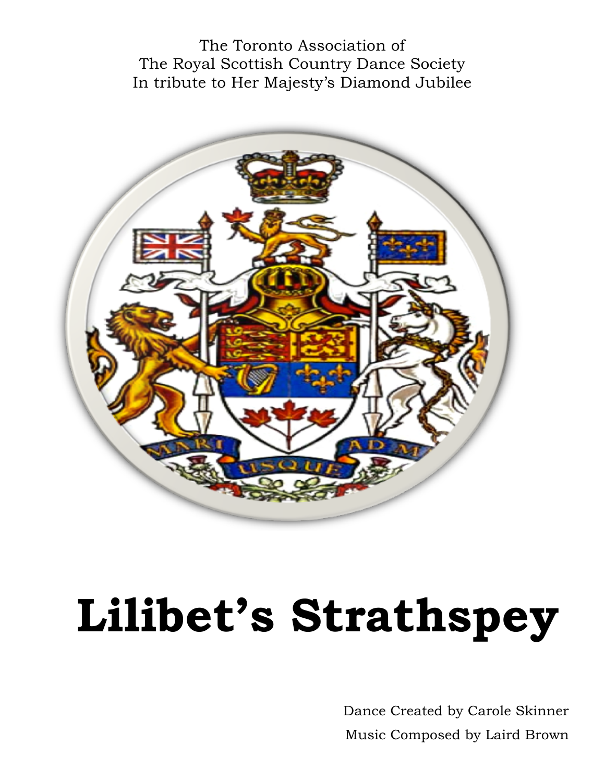The Toronto Association of The Royal Scottish Country Dance Society In tribute to Her Majesty's Diamond Jubilee



# **Lilibet's Strathspey**

Dance Created by Carole Skinner Music Composed by Laird Brown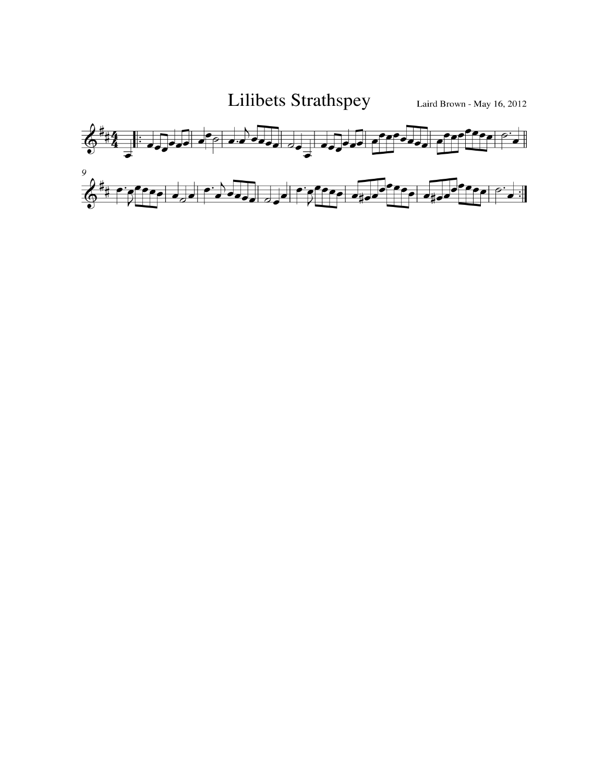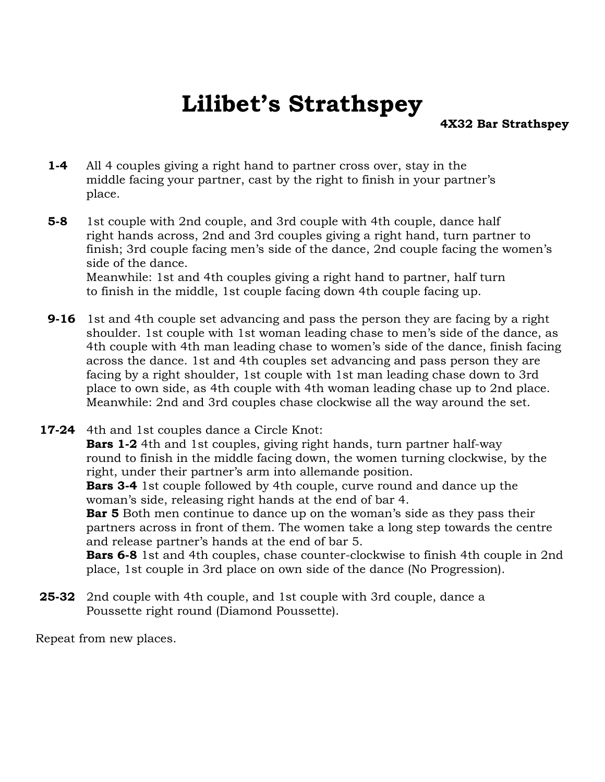## **Lilibet's Strathspey**

**4X32 Bar Strathspey** 

- **1-4** All 4 couples giving a right hand to partner cross over, stay in the middle facing your partner, cast by the right to finish in your partner's place.
- **5-8** 1st couple with 2nd couple, and 3rd couple with 4th couple, dance half right hands across, 2nd and 3rd couples giving a right hand, turn partner to finish; 3rd couple facing men's side of the dance, 2nd couple facing the women's side of the dance. Meanwhile: 1st and 4th couples giving a right hand to partner, half turn

to finish in the middle, 1st couple facing down 4th couple facing up.

- **9-16** 1st and 4th couple set advancing and pass the person they are facing by a right shoulder. 1st couple with 1st woman leading chase to men's side of the dance, as 4th couple with 4th man leading chase to women's side of the dance, finish facing across the dance. 1st and 4th couples set advancing and pass person they are facing by a right shoulder, 1st couple with 1st man leading chase down to 3rd place to own side, as 4th couple with 4th woman leading chase up to 2nd place. Meanwhile: 2nd and 3rd couples chase clockwise all the way around the set.
- **17-24** 4th and 1st couples dance a Circle Knot: **Bars 1-2** 4th and 1st couples, giving right hands, turn partner half-way round to finish in the middle facing down, the women turning clockwise, by the right, under their partner's arm into allemande position. **Bars 3-4** 1st couple followed by 4th couple, curve round and dance up the woman's side, releasing right hands at the end of bar 4. **Bar 5** Both men continue to dance up on the woman's side as they pass their partners across in front of them. The women take a long step towards the centre and release partner's hands at the end of bar 5. **Bars 6-8** 1st and 4th couples, chase counter-clockwise to finish 4th couple in 2nd place, 1st couple in 3rd place on own side of the dance (No Progression).
- **25-32** 2nd couple with 4th couple, and 1st couple with 3rd couple, dance a Poussette right round (Diamond Poussette).

Repeat from new places.